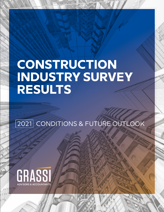# **CONSTRUCTION INDUSTRY SURVEY RESULTS**

2021 CONDITIONS & FUTURE OUTLOOK

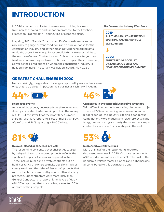### **INTRODUCTION**

In 2020, contractors pivoted to a new way of doing business, **The Construction Industry Went From:** from new technologies and sanitation protocols to the Paycheck Protection Program (PPP) and COVID-19 response plans.

In spring, 2021, Grassi's Construction Professionals embarked on a journey to gauge current conditions and future outlooks for the construction industry and gather meaningful benchmarking data to aid the sector's recovery. To accomplish this, we went straight to the source – General Contractors and Subcontractors – to get their feedback on how the pandemic continues to impact their businesses, as well as their predictions on where the construction industry is headed from here. The survey was fielded in April/May, 2021.

#### **GREATEST CHALLENGES IN 2020**

Not surprisingly, the greatest challenges reported by respondents were ones that had a direct impact on their business's cash flow, including:



#### **Decreased profits**

As one might expect, decreased overall revenue was directly correlated to declines in profits in the survey results. But the severity of the profit fades is more startling, with 17% reporting a loss of more than 50% of profits, and 34% reporting a 30-50% loss.



#### **Delayed, closed or cancelled projects**

The resounding consensus over challenges caused by delayed, closed or canceled projects reflects the significant impact of several widespread factors. These include public and private contracts put on hold, hesitancy of owners to make decisions, lack of steady work, and the delay of "essential" projects that were active but interrupted by new health and safety protocols. Subcontractors were more likely than General Contractors to report higher levels of delay, with 25% reporting that this challenge affected 50% or more of their projects.

#### **2019:**

**ALL-TIME-HIGH CONSTRUCTION SPENDING AND NEARLY FULL EMPLOYMENT**

#### **2020:**

**SHUTTERED OR SOCIALLY DISTANCED JOB SITES AND NEAR-RECORD UNEMPLOYMENT**



#### **Challenges in the competitive bidding landscape**

With 65% of respondents reporting decreased project sizes and 72% experiencing an increased number of bidders per job, the industry is facing a dangerous combination. More bidders and fewer projects leads to aggressive pricing and hasty decisions that can put contractors in worse financial shape in the end.



#### **Decreased overall revenues**

More than half of the respondents reported decreased revenues in 2020. Of those respondents, 40% saw declines of more than 30%. The cost of the pandemic, volatile materials prices and tight margins all contributed to this downward trend.

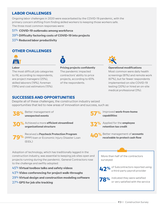#### **LABOR CHALLENGES**

Ongoing labor challenges in 2020 were exacerbated by the COVID-19 pandemic, with the primary concern shifting from finding skilled workers to keeping those workers safe. The three most common responses were:

- 51% **COVID-19 outbreaks among workforce**
- 39% **Difficulty factoring costs of COVID-19 into projects**
- 33% **Reduced labor productivity**

#### **OTHER CHALLENGES**





#### **Labor**

The most difficult job categories to fill, according to respondents, are project managers (25%), skilled laborers (19%), foreman (19%) and cost estimators (15%).

**Pricing projects confidently**  The pandemic impacted contractors' ability to price projects, according to 65% of the respondents.



#### **Operational modifications**

Most common were daily health screenings (81%) and remote work (67%), but far fewer respondents implemented on-site COVID-19 testing (20%) or hired an on-site medical professional (3%).

#### **SUCCESSES AND OPPORTUNITIES**

Despite all of these challenges, the construction industry seized opportunities that led to new areas of innovation and success, such as:





Achieved a more **efficient streamlined 30% organizational structure**

Received a **Paycheck Protection Program** (PPP) loan or Economic Injury Disaster Loan **79%** $(FIDI)$ 

Improved **work-from-home capabilities**

Applied for the **employee retention tax credit 32%**

**40%** Better management of **accounts**<br>**40%** receivable to protect cash flow **receivable to protect cash flow**

Adoption of technology, which has traditionally lagged in the construction industry, was essential to keeping job sites open and projects running during the pandemic. General Contractors rose to the challenge and swiftly adopted:

- 45% **Virtual toolbox talks and safety videos**
- 43% **Video conferencing for project walk-throughs**
- 29% **Virtual design and construction modeling software**
- 27% **GPS for job site tracking**

More than half of the contractors surveyed:

**42%** of Subcontractors reported using<br>a third-party payroll provider a third-party payroll provider

**78%** indicated they were satisfied<br>or very satisfied with the ser or very satisfied with the service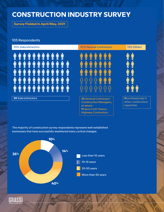### **CONSTRUCTION INDUSTRY SURVEY**

**Survey Fielded In April/May, 2021**

#### 105 Respondents



The majority of construction survey respondents represent well-established businesses that have successfully weathered many cyclical changes.



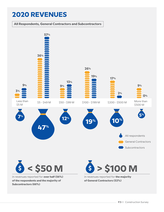### **2020 REVENUES**

**of the respondents and the majority of** 

**Subcontractors (66%)**





in revenues reported for **the majority of General Contractors (52%)**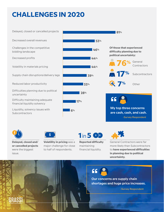## **CHALLENGES IN 2020**

Delayed, closed or cancelled projects

Decreased overall revenues

Challenges in the competitive bidding landscape

Decreased profits

Volatility in materials pricing

Supply chain disruptions/delivery lags

Reduced labor productivity

Difficulties planning due to political uncertainty

Difficulty maintaining adequate financial liquidity solvency

Liquidity, solvency issues with **Subcontractors** 







GRASSI

 $\mathsf{\hat{S}}$ 

**Delayed, closed and/ or cancelled projects** were the biggest issue.

**Volatility in pricing** was a major challenge for close to half of respondents.



**Reported difficulty**  maintaining financial liquidity.



General Contractors were far more likely than Subcontractors to **have experienced difficulties in planning due to political uncertainty.** 



**Our concerns are supply chain shortages and huge price increases.**

-Survey Respondent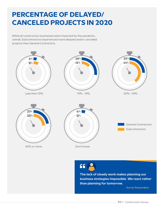### **PERCENTAGE OF DELAYED/ CANCELED PROJECTS IN 2020**

While all construction businesses were impacted by the pandemic, overall, Subcontractors experienced more delayed and/or cancelled projects than General Contractors.



-Survey Respondent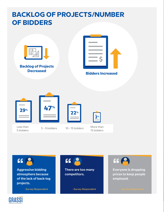### **BACKLOG OF PROJECTS/NUMBER OF BIDDERS**



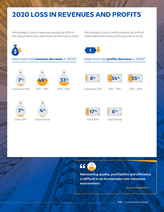### **2020 LOSS IN REVENUES AND PROFITS**

Percentage of loss in revenues among the 53% of the respondents who said revenues declined in 2020. Percentage of loss in profits among the 44% of respondents who said profits declined in 2020.



#### How much did **revenues decrease** in 2020? How much did **profits decrease** in 2020?













**7% 4%**

Over 50% Don't know Cover 50%





**17% 6%**

Don't know



**Maintaining quality, profitability and efficiency is difficult in an increasingly cost-conscious environment.**

-Survey Respondent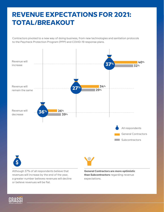### **REVENUE EXPECTATIONS FOR 2021: TOTAL/BREAKOUT**

Contractors pivoted to a new way of doing business, from new technologies and sanitation protocols to the Paycheck Protection Program (PPP) and COVID-19 response plans.



or believe revenues will be flat.

expectations.

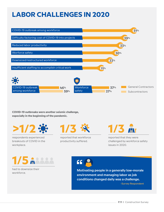### **LABOR CHALLENGES IN 2020**



**COVID-19 outbreaks were another seismic challenge, especially in the beginning of the pandemic.** 

**>1/2**

respondents experienced breakouts of COVID in the workplace.

**1/3 1/3**

reported that workforce productivity suffered.

reported that they were challenged by workforce safety issues in 2020.

**1/5**

#### had to downsize their workforce.



**Motivating people in a generally low-morale environment and managing labor as job conditions changed daily was a challenge.**

-Survey Respondent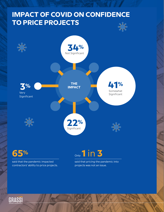### **IMPACT OF COVID ON CONFIDENCE TO PRICE PROJECTS**



**65%**

said that the pandemic impacted contractors' ability to price projects.



said that pricing the pandemic into projects was not an issue.

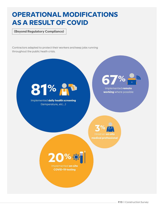### **OPERATIONAL MODIFICATIONS AS A RESULT OF COVID**

**(Beyond Regulatory Compliance)**

Contractors adapted to protect their workers and keep jobs running throughout the public heath crisis.



Implemented **daily health screening** (temperature, etc...)



Implemented **remote working** where possible





Implemented **on-site COVID-19 testing**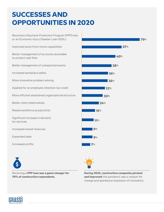## **SUCCESSES AND OPPORTUNITIES IN 2020**

Received a Paycheck Protection Program (PPP) loan or an Economic Injury Disaster Loan (EIDL) Improved work-from-home capabilities Better management of accounts receivable to protect cash flow Better management of unexpected events Increased workplace safety More innovative problem solving Applied for an employee retention tax credit More efficient steamlined organizational structure Better client relationships Raised workforce productivity Significant increase in demand for services Increased overall revenues Expanded sales Increased profits





**During 2020, construction companies pivoted and improved:** the pandemic was a catalyst for change and sparked an explosion of innovation.

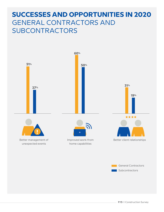### **SUCCESSES AND OPPORTUNITIES IN 2020** GENERAL CONTRACTORS AND **SUBCONTRACTORS**

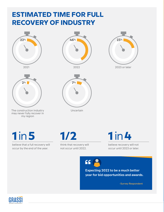### **ESTIMATED TIME FOR FULL RECOVERY OF INDUSTRY**















believe that a full recovery will occur by the end of the year.

think that recovery will not occur until 2022.



believe recovery will not occur until 2023 or later.

**SS (F** 

**Expecting 2022 to be a much better year for bid opportunities and awards.**

-Survey Respondent

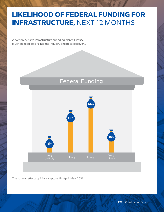### **LIKELIHOOD OF FEDERAL FUNDING FOR INFRASTRUCTURE,** NEXT 12 MONTHS

A comprehensive infrastructure spending plan will infuse much-needed dollars into the industry and boost recovery.

#### Federal Funding



The survey reflects opinions captured in April/May, 2021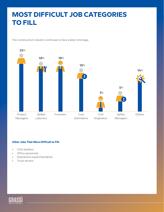### **MOST DIFFICULT JOB CATEGORIES TO FILL**

The construction industry continues to face a labor shortage.



#### **Other Jobs That Were Difficult to Fill:**

- CAD drafters
- Office personnel
- Operations superintendents
- Truck drivers

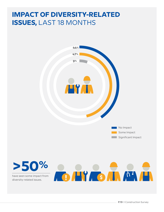### **IMPACT OF DIVERSITY-RELATED ISSUES,** LAST 18 MONTHS

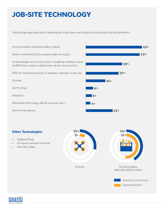## **JOB-SITE TECHNOLOGY**

Technology was essential in keeping job sites open and projects running during the pandemic.

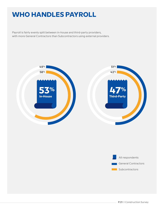### **WHO HANDLES PAYROLL**

Payroll is fairly evenly split between in-house and third-party providers, with more General Contractors than Subcontractors using external providers.



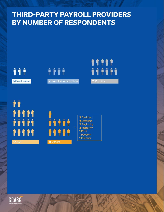### **THIRD-PARTY PAYROLL PROVIDERS BY NUMBER OF RESPONDENTS**











| <b>2</b> Ceridian  |
|--------------------|
| <b>2 Extensis</b>  |
| <b>2 Paylocity</b> |
| 2 Insperity        |
| 1 PEO              |
| <b>1</b> Paycom    |
| <b>1</b> Premier   |
|                    |

**GRASSI**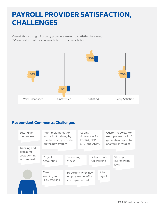### **PAYROLL PROVIDER SATISFACTION, CHALLENGES**

Overall, those using third-party providers are mostly satisfied. However, 22% indicated that they are unsatisfied or very unsatisfied.



#### **Respondent Comments: Challenges**

| Setting up<br>the process     | Poor implementation<br>and lack of training by<br>the third-party provider<br>on the new system | Coding<br>differences for<br>FFCRA, PPP,<br>ERC, and ARPA   |  | Custom reports. For<br>example, we couldn't<br>generate a report to<br>analyze PPP wages |                  |  |                                 |
|-------------------------------|-------------------------------------------------------------------------------------------------|-------------------------------------------------------------|--|------------------------------------------------------------------------------------------|------------------|--|---------------------------------|
| Tracking and<br>allocating    |                                                                                                 |                                                             |  |                                                                                          |                  |  |                                 |
| costs coming<br>in from field | Project<br>accounting                                                                           | Processing<br>checks                                        |  | Sick and Safe<br>Act tracking                                                            |                  |  | Staying<br>current with<br>laws |
|                               | Time<br>keeping and<br><b>HRIS tracking</b>                                                     | Reporting when new<br>employees benefits<br>are implemented |  |                                                                                          | Union<br>payroll |  |                                 |
|                               |                                                                                                 |                                                             |  |                                                                                          |                  |  |                                 |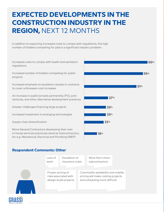### **EXPECTED DEVELOPMENTS IN THE CONSTRUCTION INDUSTRY IN THE REGION,** NEXT 12 MONTHS

In addition to expecting increased costs to comply with regulations, the high number of bidders competing for jobs is a significant industry problem.

Increased costs to comply with health and sanitation regulations

Increased number of bidders competing for public projects

Increased emphasis on escalation clauses in contracts to cover unforeseen cost increases

An increase in public/private partnership (P3), joint ventures, and other alternative development scenarios

Greater challenges financing large projects

Increased investment in emerging technologies

Supply chain diversification

GRASSI

More General Contractors developing their own in-house services previously done by Subcontractors, for e.g. Mechanical, Electrical and Plumbing (MEP)



#### **Respondent Comments: Other**

| Proper pricing of<br>Commodity availability and volatile<br>risks associated with<br>pricing will make costing projects<br>and scheduling more difficult<br>design-build projects | Lack of<br>work | Escalation of<br>insurance costs |  | More Non-Union<br>subcontractors |  |
|-----------------------------------------------------------------------------------------------------------------------------------------------------------------------------------|-----------------|----------------------------------|--|----------------------------------|--|
|                                                                                                                                                                                   |                 |                                  |  |                                  |  |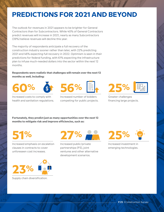### **PREDICTIONS FOR 2021 AND BEYOND**

The outlook for revenues in 2021 appears to be brighter for General Contractors than for Subcontractors. While 40% of General Contractors predict revenues will increase in 2021, nearly as many Subcontractors (39%) believe revenues will decline this year.

The majority of respondents anticipate a full recovery of the construction industry sooner rather than later, with 22% predicting 2021 and 46% expecting full recovery in 2022. Optimism is seen in their predictions for federal funding, with 61% expecting the infrastructure plan to infuse much-needed dollars into the sector within the next 12 months.

**Respondents were realistic that challenges will remain over the next 12 months as well, including:**







Increased costs to comply with health and sanitation regulations.

Increased number of bidders competing for public projects.



Greater challenges financing large projects.

**Fortunately, they predict just as many opportunities over the next 12 months to mitigate risk and improve efficiencies, such as:**

**51%**

Increased emphasis on escalation clauses in contracts to cover unforeseen cost increases.



Supply chain diversification.



Increased public/private partnerships (P3), joint ventures and other alternative development scenarios.



Increased investment in emerging technologies.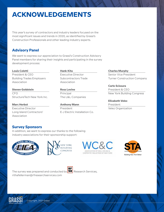### **ACKNOWLEDGEMENTS**

This year's survey of contractors and industry leaders focused on the most significant issues and trends in 2020, as identified by Grassi's Construction Professionals and other leading industry experts.

#### **Advisory Panel**

We want to express our appreciation to Grassi's Construction Advisory Panel members for sharing their insights and participating in the survey development process:

#### **Louis Coletti**

President & CEO Building Trades Employers Association

**Steven Goldstein** CFO StructureTech New York Inc.

**Marc Herbst** Executive Director Long Island Contractors' Association

**Hank Kita** Executive Director Subcontractors Trade Association

**Ross Levine** Principal The L&L Companies

**Anthony Mann** President E-J Electric Installation Co. **Charles Murphy**

Senior Vice President Turner Construction Company

#### **Carlo Scissura**

President & CEO New York Building Congress

#### **Elizabeth Velez**

President Velez Organization

#### **Survey Sponsors**

In addition, we want to express our thanks to the following industry associations for their sponsorship support:









The survey was prepared and conducted by **SU** Research Services, rithafellerman@rfresearchservices.com

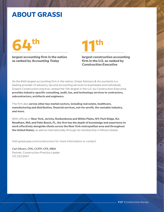#### **ABOUT GRASSI**



**largest accounting firm in the nation as ranked by** *Accounting Today*

**largest construction accounting firm in the U.S. as ranked by**  *Construction Executive*

As the 64th largest accounting firm in the nation, Grassi Advisors & Accountants is a leading provider of advisory, tax and accounting services to businesses and individuals. Grassi's Construction practice, ranked the 11th largest in the U.S. by *Construction Executive,*  **provides industry-specific consulting, audit, tax, and technology services to contractors, subcontractors, architects and engineers.** 

The firm also **serves other key market sectors, including real estate, healthcare, manufacturing and distribution, financial services, not-for-profit, the cannabis industry, and more.**

With offices in **New York, Jericho, Ronkonkoma and White Plains, NY; Park Ridge, NJ; Needham, MA; and Palm Beach, FL, the firm has the depth of knowledge and experience to work effectively alongside clients across the New York metropolitan area and throughout the United States,** as well as internationally through its membership in Moore Global.

Visit grassicpas.com/construction for more information or contact:

**Carl Oliveri, CPA, CCIFP, CFE, MBA** Partner, Construction Practice Leader 212.223.5047